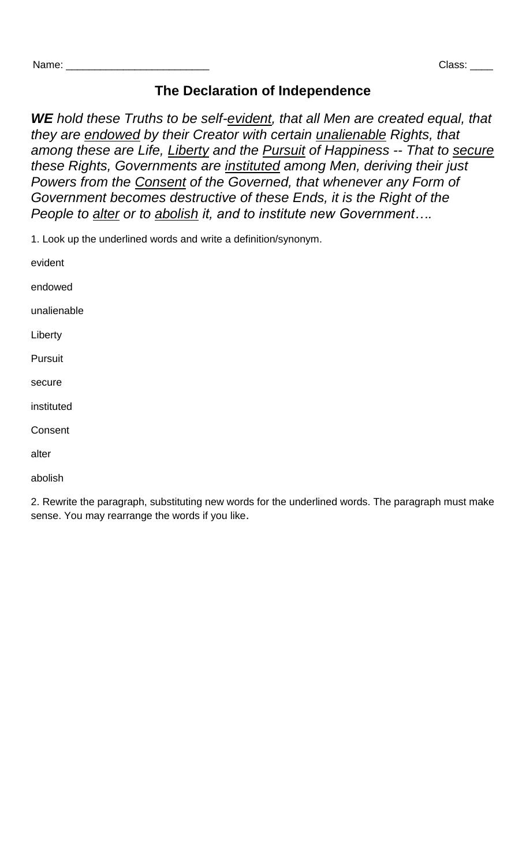## **The Declaration of Independence**

*WE hold these Truths to be self-evident, that all Men are created equal, that they are endowed by their Creator with certain unalienable Rights, that among these are Life, Liberty and the Pursuit of Happiness -- That to secure these Rights, Governments are instituted among Men, deriving their just Powers from the Consent of the Governed, that whenever any Form of Government becomes destructive of these Ends, it is the Right of the People to alter or to abolish it, and to institute new Government….* 

1. Look up the underlined words and write a definition/synonym.

evident

endowed

unalienable

Liberty

Pursuit

secure

instituted

Consent

alter

abolish

2. Rewrite the paragraph, substituting new words for the underlined words. The paragraph must make sense. You may rearrange the words if you like.